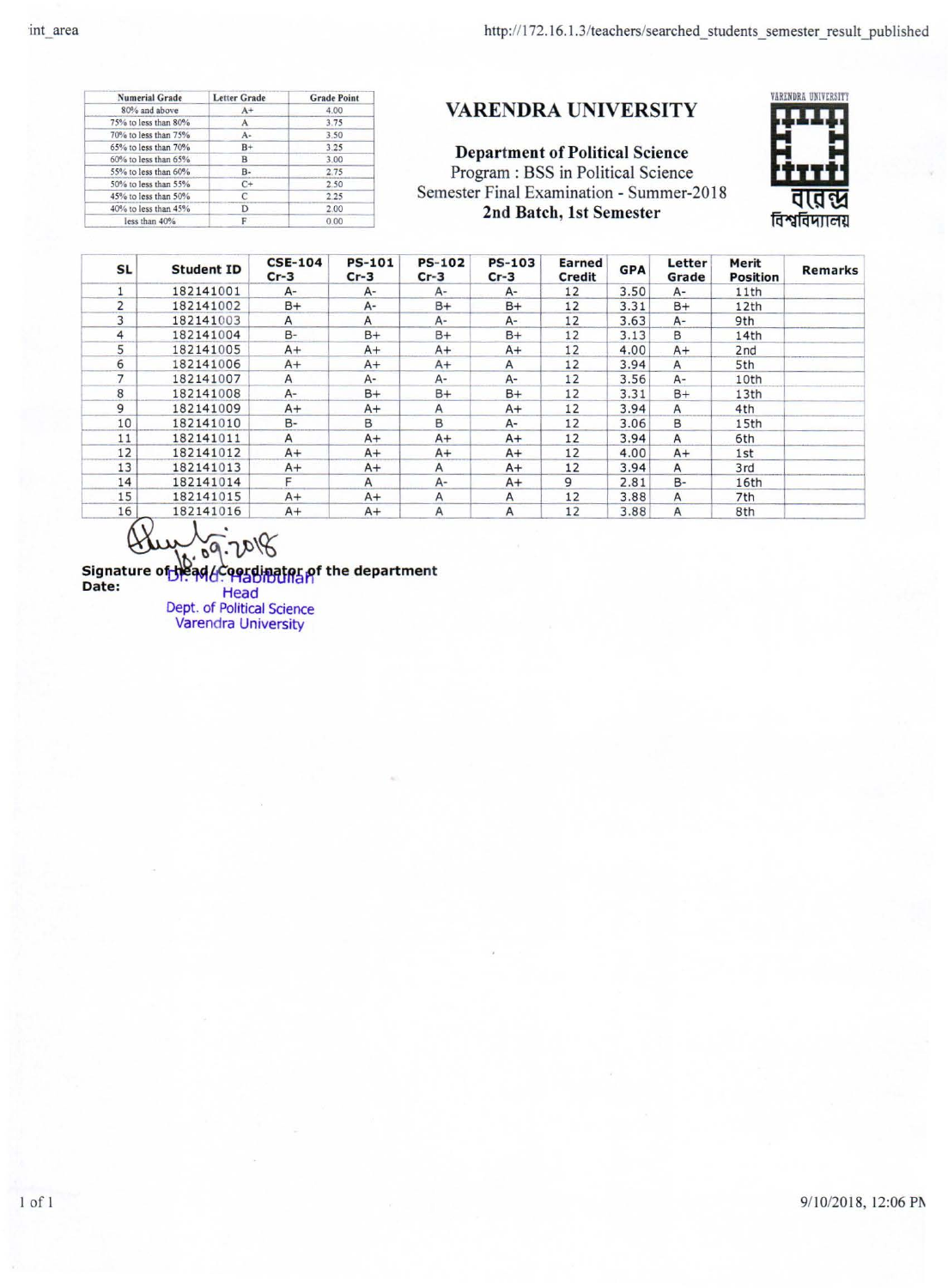1 of 1

9/10/2018, 12:06 PN

| <b>Numerial Grade</b> | <b>Letter Grade</b> | <b>Grade Point</b> |  |  |
|-----------------------|---------------------|--------------------|--|--|
| 80% and above         | $A+$                | 4.00               |  |  |
| 75% to less than 80%  | A                   | 3.75               |  |  |
| 70% to less than 75%  | A÷                  | 3.50               |  |  |
| 65% to less than 70%  | $B+$                | 3.25               |  |  |
| 60% to less than 65%  | B                   | 3.00               |  |  |
| 55% to less than 60%  | $B -$               | 2.75               |  |  |
| 50% to less than 55%  | C+                  | 2.50               |  |  |
| 45% to less than 50%  | C                   | 2.25               |  |  |
| 40% to less than 45%  |                     | 2.00               |  |  |
| less than 40%         |                     | 0.00               |  |  |
|                       |                     |                    |  |  |

## VARENDRA UNIVERSITY

Department of Political Science Program : BSS in Political Science Semester Final Examination - Summer-20 18 2nd Batch, 1st Semester

| <b>SL</b>      | <b>Student ID</b> | <b>CSE-104</b><br>$Cr-3$ | <b>PS-101</b><br>$Cr-3$ | <b>PS-102</b><br>$Cr-3$ | <b>PS-103</b><br>$Cr-3$ | Earned<br>Credit | <b>GPA</b> | Letter<br>Grade | Merit<br><b>Position</b> | <b>Remarks</b> |
|----------------|-------------------|--------------------------|-------------------------|-------------------------|-------------------------|------------------|------------|-----------------|--------------------------|----------------|
|                | 182141001         | A-                       | $A-$                    | A-                      | A-                      | 12               | 3.50       | A-              | 11th                     |                |
| $\overline{2}$ | 182141002         | $B+$                     | A-                      | B+                      | $B+$                    | 12               | 3.31       | $B+$            | 12th                     |                |
| 3              | 182141003         | $\mathsf{A}$             | A                       | A-                      | $A-$                    | 12               | 3.63       | A-              | 9th                      |                |
| 4              | 182141004         | $B -$                    | B+                      | $B+$                    | $B+$                    | 12               | 3.13       | B               | 14th                     |                |
| 5              | 182141005         | $A+$                     | $A+$                    | $A+$                    | $A+$                    | 12               | 4.00       | $A+$            | 2 <sub>nd</sub>          |                |
| 6              | 182141006         | $A+$                     | $A+$                    | $A+$                    | A                       | 12               | 3.94       | A               | 5th                      |                |
| 7              | 182141007         | A                        | $A-$                    | $A-$                    | $A-$                    | 12               | 3.56       | A-              | 10th                     |                |
| 8              | 182141008         | A-                       | $B+$                    | $B+$                    | $B+$                    | 12               | 3.31       | $B+$            | 13th                     |                |
| 9              | 182141009         | $A+$                     | $A+$                    | A                       | A+                      | 12               | 3.94       | Α               | 4th                      |                |
| 10             | 182141010         | B-                       | в                       | В                       | $A-$                    | 12               | 3.06       | B.              | 15th                     |                |
| 11             | 182141011         | $\mathsf{A}$             | $A+$                    | $A+$                    | $A+$                    | 12               | 3.94       | A               | 6th                      |                |
| 12             | 182141012         | $A+$                     | $A+$                    | $A+$                    | $A+$                    | 12               | 4.00       | $A+$            | 1st                      |                |
| 13             | 182141013         | $A+$                     | $A+$                    | A                       | $A+$                    | 12               | 3.94       | A               | 3rd                      |                |
| 14             | 182141014         | F                        | A                       | $A-$                    | $A+$                    | 9                | 2.81       | B-              | 16th                     |                |
| 15             | 182141015         | $A+$                     | $A+$                    | Α                       | A                       | 12               | 3.88       | $\mathsf{A}$    | 7th                      |                |
| 16             | 182141016         | $A+$                     | $A+$                    | Α                       | Α                       | 12               | 3.88       | A               | 8th                      |                |



•